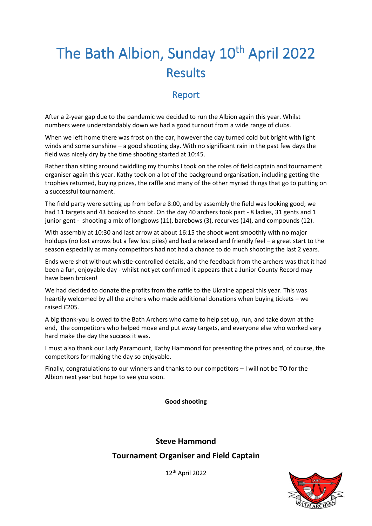# The Bath Albion, Sunday 10<sup>th</sup> April 2022 Results

### Report

After a 2-year gap due to the pandemic we decided to run the Albion again this year. Whilst numbers were understandably down we had a good turnout from a wide range of clubs.

When we left home there was frost on the car, however the day turned cold but bright with light winds and some sunshine – a good shooting day. With no significant rain in the past few days the field was nicely dry by the time shooting started at 10:45.

Rather than sitting around twiddling my thumbs I took on the roles of field captain and tournament organiser again this year. Kathy took on a lot of the background organisation, including getting the trophies returned, buying prizes, the raffle and many of the other myriad things that go to putting on a successful tournament.

The field party were setting up from before 8:00, and by assembly the field was looking good; we had 11 targets and 43 booked to shoot. On the day 40 archers took part - 8 ladies, 31 gents and 1 junior gent - shooting a mix of longbows (11), barebows (3), recurves (14), and compounds (12).

With assembly at 10:30 and last arrow at about 16:15 the shoot went smoothly with no major holdups (no lost arrows but a few lost piles) and had a relaxed and friendly feel – a great start to the season especially as many competitors had not had a chance to do much shooting the last 2 years.

Ends were shot without whistle-controlled details, and the feedback from the archers was that it had been a fun, enjoyable day - whilst not yet confirmed it appears that a Junior County Record may have been broken!

We had decided to donate the profits from the raffle to the Ukraine appeal this year. This was heartily welcomed by all the archers who made additional donations when buying tickets – we raised £205.

A big thank-you is owed to the Bath Archers who came to help set up, run, and take down at the end, the competitors who helped move and put away targets, and everyone else who worked very hard make the day the success it was.

I must also thank our Lady Paramount, Kathy Hammond for presenting the prizes and, of course, the competitors for making the day so enjoyable.

Finally, congratulations to our winners and thanks to our competitors – I will not be TO for the Albion next year but hope to see you soon.

**Good shooting**

**Steve Hammond**

#### **Tournament Organiser and Field Captain**

12 th April 2022

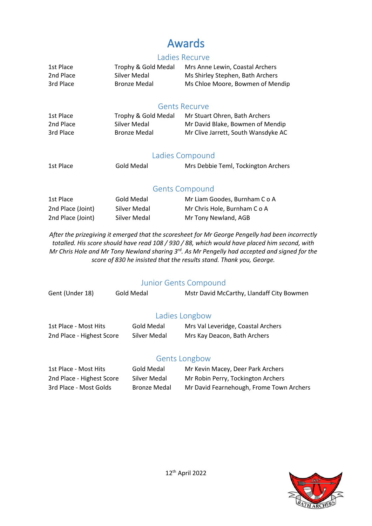### Awards

#### Ladies Recurve

| 1st Place | Trophy & Gold Medal | Mrs Anne Lewin, Coastal Archers  |
|-----------|---------------------|----------------------------------|
| 2nd Place | Silver Medal        | Ms Shirley Stephen, Bath Archers |
| 3rd Place | <b>Bronze Medal</b> | Ms Chloe Moore, Bowmen of Mendip |

#### Gents Recurve

| 1st Place | Trophy & Gold Medal | Mr Stuart Ohren, Bath Archers       |
|-----------|---------------------|-------------------------------------|
| 2nd Place | Silver Medal        | Mr David Blake, Bowmen of Mendip    |
| 3rd Place | <b>Bronze Medal</b> | Mr Clive Jarrett, South Wansdyke AC |

#### Ladies Compound

| 1st Place | Gold Medal | Mrs Debbie Teml, Tockington Archers |
|-----------|------------|-------------------------------------|
|           |            |                                     |

#### Gents Compound

| 1st Place         | Gold Medal   | Mr Liam Goodes, Burnham C o A |
|-------------------|--------------|-------------------------------|
| 2nd Place (Joint) | Silver Medal | Mr Chris Hole, Burnham C o A  |
| 2nd Place (Joint) | Silver Medal | Mr Tony Newland, AGB          |

*After the prizegiving it emerged that the scoresheet for Mr George Pengelly had been incorrectly totalled. His score should have read 108 / 930 / 88, which would have placed him second, with Mr Chris Hole and Mr Tony Newland sharing 3rd. As Mr Pengelly had accepted and signed for the score of 830 he insisted that the results stand. Thank you, George.*

#### Junior Gents Compound

| Gent (Under 18)           | Gold Medal   | Mstr David McCarthy, Llandaff City Bowmen |
|---------------------------|--------------|-------------------------------------------|
|                           |              | Ladies Longbow                            |
| 1st Place - Most Hits     | Gold Medal   | Mrs Val Leveridge, Coastal Archers        |
| 2nd Place - Highest Score | Silver Medal | Mrs Kay Deacon, Bath Archers              |
|                           |              | <b>Gents Longbow</b>                      |
| 1st Place - Most Hits     | Gold Medal   | Mr Kevin Macey, Deer Park Archers         |
| 2nd Place - Highest Score | Silver Medal | Mr Robin Perry, Tockington Archers        |

3rd Place - Most Golds Bronze Medal Mr David Fearnehough, Frome Town Archers

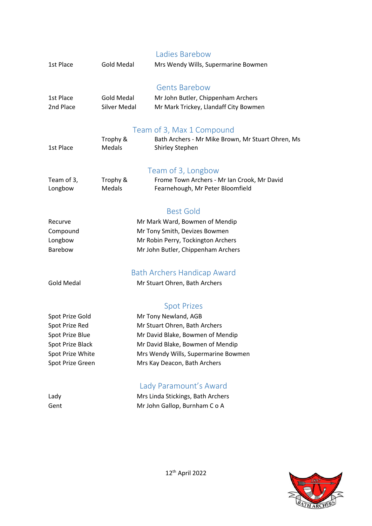|                       |                                    | Ladies Barebow                                                                  |  |
|-----------------------|------------------------------------|---------------------------------------------------------------------------------|--|
| 1st Place             | <b>Gold Medal</b>                  | Mrs Wendy Wills, Supermarine Bowmen                                             |  |
|                       |                                    | <b>Gents Barebow</b>                                                            |  |
| 1st Place             | <b>Gold Medal</b>                  | Mr John Butler, Chippenham Archers                                              |  |
| 2nd Place             | <b>Silver Medal</b>                | Mr Mark Trickey, Llandaff City Bowmen                                           |  |
|                       |                                    | Team of 3, Max 1 Compound                                                       |  |
|                       | Trophy &                           | Bath Archers - Mr Mike Brown, Mr Stuart Ohren, Ms                               |  |
| 1st Place             | Medals                             | <b>Shirley Stephen</b>                                                          |  |
|                       |                                    |                                                                                 |  |
|                       |                                    | Team of 3, Longbow                                                              |  |
| Team of 3,<br>Longbow | Trophy &<br>Medals                 | Frome Town Archers - Mr Ian Crook, Mr David<br>Fearnehough, Mr Peter Bloomfield |  |
|                       |                                    |                                                                                 |  |
|                       |                                    | <b>Best Gold</b>                                                                |  |
| Recurve               |                                    | Mr Mark Ward, Bowmen of Mendip                                                  |  |
| Compound              | Mr Tony Smith, Devizes Bowmen      |                                                                                 |  |
| Longbow               | Mr Robin Perry, Tockington Archers |                                                                                 |  |
| Barebow               |                                    | Mr John Butler, Chippenham Archers                                              |  |
|                       |                                    | <b>Bath Archers Handicap Award</b>                                              |  |
| <b>Gold Medal</b>     |                                    | Mr Stuart Ohren, Bath Archers                                                   |  |
|                       |                                    |                                                                                 |  |
|                       |                                    | <b>Spot Prizes</b>                                                              |  |
| Spot Prize Gold       | Mr Tony Newland, AGB               |                                                                                 |  |
| Spot Prize Red        | Mr Stuart Ohren, Bath Archers      |                                                                                 |  |
| Spot Prize Blue       |                                    | Mr David Blake, Bowmen of Mendip                                                |  |
| Spot Prize Black      |                                    | Mr David Blake, Bowmen of Mendip<br>Mrs Wendy Wills, Supermarine Bowmen         |  |
| Spot Prize White      |                                    |                                                                                 |  |
| Spot Prize Green      |                                    | Mrs Kay Deacon, Bath Archers                                                    |  |
|                       |                                    | Lady Paramount's Award                                                          |  |
| Lady                  |                                    | Mrs Linda Stickings, Bath Archers                                               |  |
| Gent                  |                                    | Mr John Gallop, Burnham C o A                                                   |  |
|                       |                                    |                                                                                 |  |